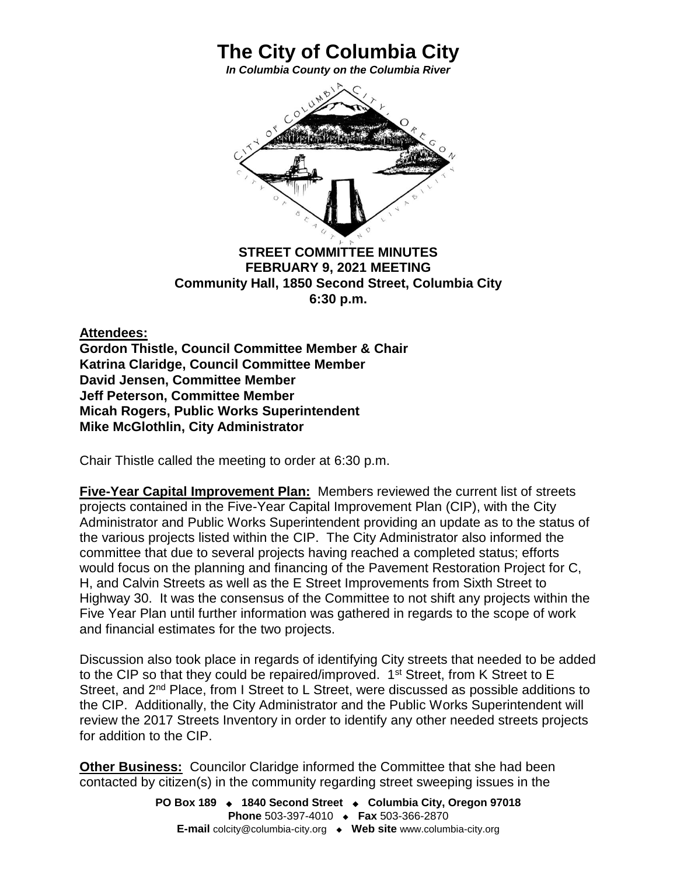

**The City of Columbia City** *In Columbia County on the Columbia River*

**FEBRUARY 9, 2021 MEETING Community Hall, 1850 Second Street, Columbia City 6:30 p.m.**

**Attendees:**

**Gordon Thistle, Council Committee Member & Chair Katrina Claridge, Council Committee Member David Jensen, Committee Member Jeff Peterson, Committee Member Micah Rogers, Public Works Superintendent Mike McGlothlin, City Administrator**

Chair Thistle called the meeting to order at 6:30 p.m.

**Five-Year Capital Improvement Plan:** Members reviewed the current list of streets projects contained in the Five-Year Capital Improvement Plan (CIP), with the City Administrator and Public Works Superintendent providing an update as to the status of the various projects listed within the CIP. The City Administrator also informed the committee that due to several projects having reached a completed status; efforts would focus on the planning and financing of the Pavement Restoration Project for C, H, and Calvin Streets as well as the E Street Improvements from Sixth Street to Highway 30. It was the consensus of the Committee to not shift any projects within the Five Year Plan until further information was gathered in regards to the scope of work and financial estimates for the two projects.

Discussion also took place in regards of identifying City streets that needed to be added to the CIP so that they could be repaired/improved. 1<sup>st</sup> Street, from K Street to E Street, and 2<sup>nd</sup> Place, from I Street to L Street, were discussed as possible additions to the CIP. Additionally, the City Administrator and the Public Works Superintendent will review the 2017 Streets Inventory in order to identify any other needed streets projects for addition to the CIP.

**Other Business:** Councilor Claridge informed the Committee that she had been contacted by citizen(s) in the community regarding street sweeping issues in the